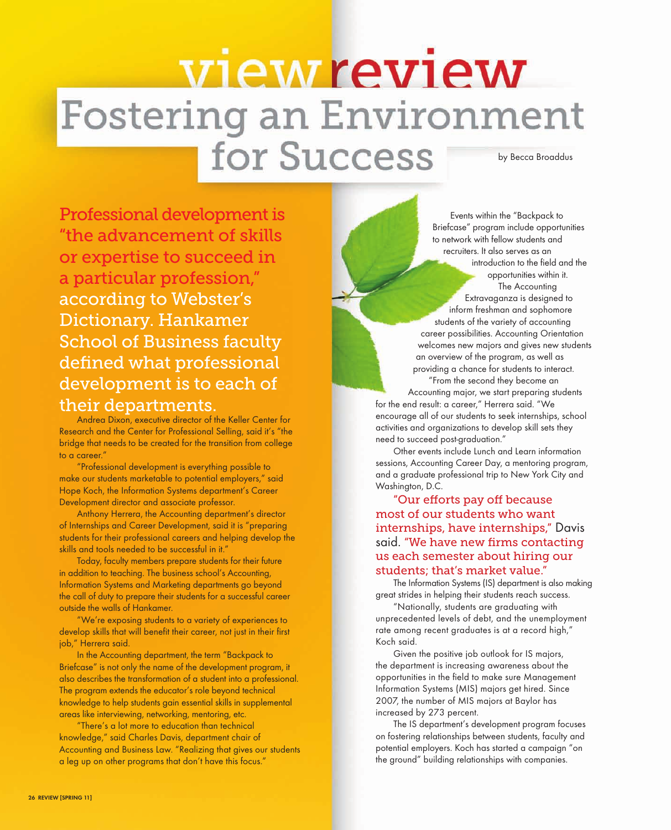## view review Fostering an Environment for Success by Becca Broaddus

Professional development is "the advancement of skills or expertise to succeed in a particular profession," according to Webster's Dictionary. Hankamer School of Business faculty defined what professional development is to each of their departments.

Andrea Dixon, executive director of the Keller Center for Research and the Center for Professional Selling, said it's "the bridge that needs to be created for the transition from college to a career."

"Professional development is everything possible to make our students marketable to potential employers," said Hope Koch, the Information Systems department's Career Development director and associate professor.

Anthony Herrera, the Accounting department's director of Internships and Career Development, said it is "preparing students for their professional careers and helping develop the skills and tools needed to be successful in it."

Today, faculty members prepare students for their future in addition to teaching. The business school's Accounting, Information Systems and Marketing departments go beyond the call of duty to prepare their students for a successful career outside the walls of Hankamer.

"We're exposing students to a variety of experiences to develop skills that will benefit their career, not just in their first job," Herrera said.

In the Accounting department, the term "Backpack to Briefcase" is not only the name of the development program, it also describes the transformation of a student into a professional. The program extends the educator's role beyond technical knowledge to help students gain essential skills in supplemental areas like interviewing, networking, mentoring, etc.

"There's a lot more to education than technical knowledge," said Charles Davis, department chair of Accounting and Business Law. "Realizing that gives our students a leg up on other programs that don't have this focus."

Events within the "Backpack to Briefcase" program include opportunities to network with fellow students and recruiters. It also serves as an introduction to the field and the opportunities within it. The Accounting Extravaganza is designed to inform freshman and sophomore students of the variety of accounting career possibilities. Accounting Orientation welcomes new majors and gives new students an overview of the program, as well as providing a chance for students to interact. "From the second they become an

Accounting major, we start preparing students for the end result: a career," Herrera said. "We encourage all of our students to seek internships, school activities and organizations to develop skill sets they need to succeed post-graduation."

Other events include Lunch and Learn information sessions, Accounting Career Day, a mentoring program, and a graduate professional trip to New York City and Washington, D.C.

"Our efforts pay off because most of our students who want internships, have internships," Davis said. "We have new firms contacting us each semester about hiring our students; that's market value."

The Information Systems (IS) department is also making great strides in helping their students reach success.

"Nationally, students are graduating with unprecedented levels of debt, and the unemployment rate among recent graduates is at a record high," Koch said.

Given the positive job outlook for IS majors, the department is increasing awareness about the opportunities in the field to make sure Management Information Systems (MIS) majors get hired. Since 2007, the number of MIS majors at Baylor has increased by 273 percent.

The IS department's development program focuses on fostering relationships between students, faculty and potential employers. Koch has started a campaign "on the ground" building relationships with companies.